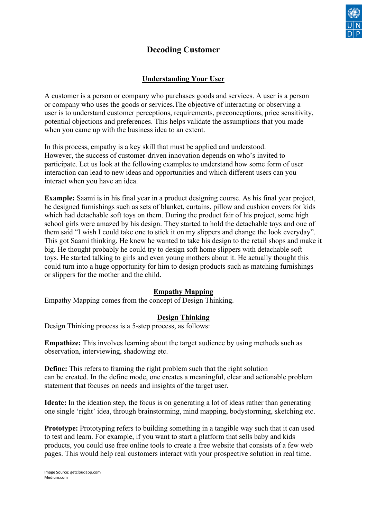

# **Decoding Customer**

# **Understanding Your User**

A customer is a person or company who purchases goods and services. A user is a person or company who uses the goods or services.The objective of interacting or observing a user is to understand customer perceptions, requirements, preconceptions, price sensitivity, potential objections and preferences. This helps validate the assumptions that you made when you came up with the business idea to an extent.

In this process, empathy is a key skill that must be applied and understood. However, the success of customer-driven innovation depends on who's invited to participate. Let us look at the following examples to understand how some form of user interaction can lead to new ideas and opportunities and which different users can you interact when you have an idea.

**Example:** Saami is in his final year in a product designing course. As his final year project, he designed furnishings such as sets of blanket, curtains, pillow and cushion covers for kids which had detachable soft toys on them. During the product fair of his project, some high school girls were amazed by his design. They started to hold the detachable toys and one of them said "I wish I could take one to stick it on my slippers and change the look everyday". This got Saami thinking. He knew he wanted to take his design to the retail shops and make it big. He thought probably he could try to design soft home slippers with detachable soft toys. He started talking to girls and even young mothers about it. He actually thought this could turn into a huge opportunity for him to design products such as matching furnishings or slippers for the mother and the child.

#### **Empathy Mapping**

Empathy Mapping comes from the concept of Design Thinking.

# **Design Thinking**

Design Thinking process is a 5-step process, as follows:

**Empathize:** This involves learning about the target audience by using methods such as observation, interviewing, shadowing etc.

**Define:** This refers to framing the right problem such that the right solution can be created. In the define mode, one creates a meaningful, clear and actionable problem statement that focuses on needs and insights of the target user.

**Ideate:** In the ideation step, the focus is on generating a lot of ideas rather than generating one single 'right' idea, through brainstorming, mind mapping, bodystorming, sketching etc.

**Prototype:** Prototyping refers to building something in a tangible way such that it can used to test and learn. For example, if you want to start a platform that sells baby and kids products, you could use free online tools to create a free website that consists of a few web pages. This would help real customers interact with your prospective solution in real time.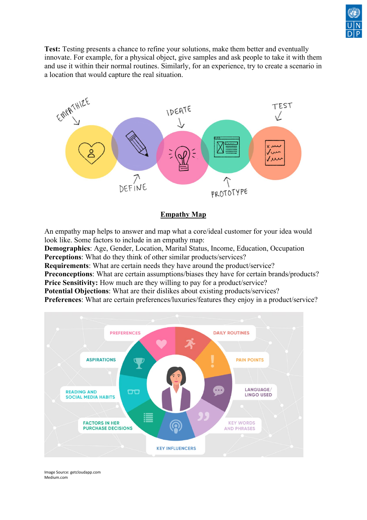

**Test:** Testing presents a chance to refine your solutions, make them better and eventually innovate. For example, for a physical object, give samples and ask people to take it with them and use it within their normal routines. Similarly, for an experience, try to create a scenario in a location that would capture the real situation.



# **Empathy Map**

An empathy map helps to answer and map what a core/ideal customer for your idea would look like. Some factors to include in an empathy map:

**Demographics**: Age, Gender, Location, Marital Status, Income, Education, Occupation **Perceptions**: What do they think of other similar products/services?

**Requirements**: What are certain needs they have around the product/service?

**Preconceptions**: What are certain assumptions/biases they have for certain brands/products? **Price Sensitivity:** How much are they willing to pay for a product/service?

**Potential Objections**: What are their dislikes about existing products/services?

**Preferences**: What are certain preferences/luxuries/features they enjoy in a product/service?



Image Source: getcloudapp.com Medium.com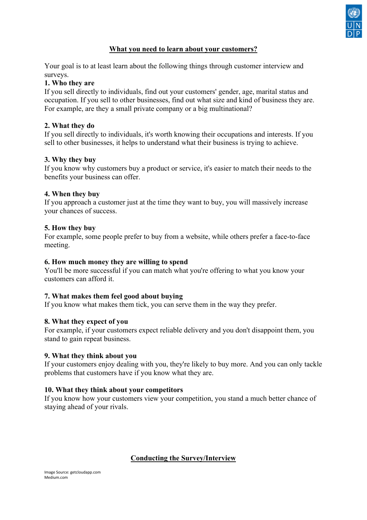

### **What you need to learn about your customers?**

Your goal is to at least learn about the following things through customer interview and surveys.

#### **1. Who they are**

If you sell directly to individuals, find out your customers' gender, age, marital status and occupation. If you sell to other businesses, find out what size and kind of business they are. For example, are they a small private company or a big multinational?

#### **2. What they do**

If you sell directly to individuals, it's worth knowing their occupations and interests. If you sell to other businesses, it helps to understand what their business is trying to achieve.

#### **3. Why they buy**

If you know why customers buy a product or service, it's easier to match their needs to the benefits your business can offer.

#### **4. When they buy**

If you approach a customer just at the time they want to buy, you will massively increase your chances of success.

### **5. How they buy**

For example, some people prefer to buy from a website, while others prefer a face-to-face meeting.

#### **6. How much money they are willing to spend**

You'll be more successful if you can match what you're offering to what you know your customers can afford it.

#### **7. What makes them feel good about buying**

If you know what makes them tick, you can serve them in the way they prefer.

#### **8. What they expect of you**

For example, if your customers expect reliable delivery and you don't disappoint them, you stand to gain repeat business.

#### **9. What they think about you**

If your customers enjoy dealing with you, they're likely to buy more. And you can only tackle problems that customers have if you know what they are.

#### **10. What they think about your competitors**

If you know how your customers view your competition, you stand a much better chance of staying ahead of your rivals.

# **Conducting the Survey/Interview**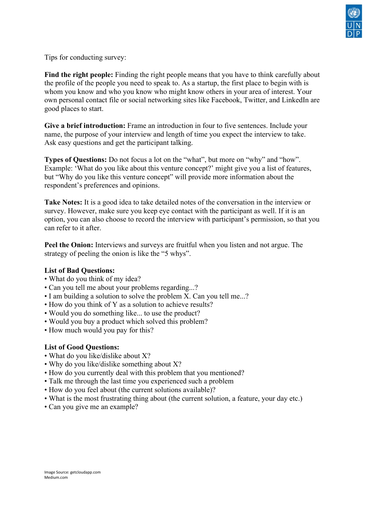

Tips for conducting survey:

Find the right people: Finding the right people means that you have to think carefully about the profile of the people you need to speak to. As a startup, the first place to begin with is whom you know and who you know who might know others in your area of interest. Your own personal contact file or social networking sites like Facebook, Twitter, and LinkedIn are good places to start.

**Give a brief introduction:** Frame an introduction in four to five sentences. Include your name, the purpose of your interview and length of time you expect the interview to take. Ask easy questions and get the participant talking.

**Types of Questions:** Do not focus a lot on the "what", but more on "why" and "how". Example: 'What do you like about this venture concept?' might give you a list of features, but "Why do you like this venture concept" will provide more information about the respondent's preferences and opinions.

**Take Notes:** It is a good idea to take detailed notes of the conversation in the interview or survey. However, make sure you keep eye contact with the participant as well. If it is an option, you can also choose to record the interview with participant's permission, so that you can refer to it after.

**Peel the Onion:** Interviews and surveys are fruitful when you listen and not argue. The strategy of peeling the onion is like the "5 whys".

#### **List of Bad Questions:**

- What do you think of my idea?
- Can you tell me about your problems regarding...?
- I am building a solution to solve the problem X. Can you tell me...?
- How do you think of Y as a solution to achieve results?
- Would you do something like... to use the product?
- Would you buy a product which solved this problem?
- How much would you pay for this?

#### **List of Good Questions:**

- What do you like/dislike about X?
- Why do you like/dislike something about X?
- How do you currently deal with this problem that you mentioned?
- Talk me through the last time you experienced such a problem
- How do you feel about (the current solutions available)?
- What is the most frustrating thing about (the current solution, a feature, your day etc.)
- Can you give me an example?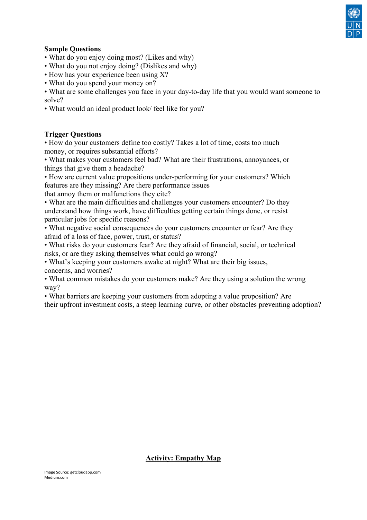

# **Sample Questions**

- What do you enjoy doing most? (Likes and why)
- What do you not enjoy doing? (Dislikes and why)
- How has your experience been using X?
- What do you spend your money on?
- What are some challenges you face in your day-to-day life that you would want someone to solve?
- What would an ideal product look/ feel like for you?

# **Trigger Questions**

• How do your customers define too costly? Takes a lot of time, costs too much money, or requires substantial efforts?

• What makes your customers feel bad? What are their frustrations, annoyances, or things that give them a headache?

• How are current value propositions under-performing for your customers? Which features are they missing? Are there performance issues

that annoy them or malfunctions they cite?

• What are the main difficulties and challenges your customers encounter? Do they understand how things work, have difficulties getting certain things done, or resist particular jobs for specific reasons?

• What negative social consequences do your customers encounter or fear? Are they afraid of a loss of face, power, trust, or status?

• What risks do your customers fear? Are they afraid of financial, social, or technical risks, or are they asking themselves what could go wrong?

• What's keeping your customers awake at night? What are their big issues, concerns, and worries?

• What common mistakes do your customers make? Are they using a solution the wrong way?

• What barriers are keeping your customers from adopting a value proposition? Are their upfront investment costs, a steep learning curve, or other obstacles preventing adoption?

# **Activity: Empathy Map**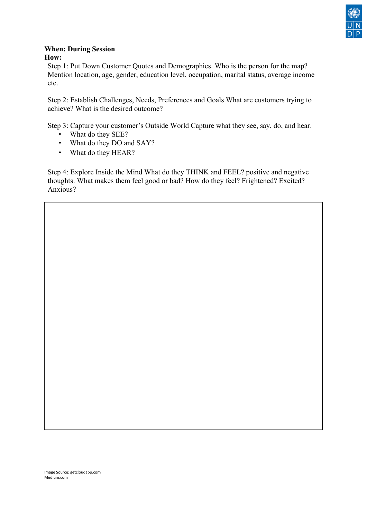

#### **When: During Session How:**

Step 1: Put Down Customer Quotes and Demographics. Who is the person for the map? Mention location, age, gender, education level, occupation, marital status, average income etc.

Step 2: Establish Challenges, Needs, Preferences and Goals What are customers trying to achieve? What is the desired outcome?

Step 3: Capture your customer's Outside World Capture what they see, say, do, and hear.

- What do they SEE?
- What do they DO and SAY?
- What do they HEAR?

Step 4: Explore Inside the Mind What do they THINK and FEEL? positive and negative thoughts. What makes them feel good or bad? How do they feel? Frightened? Excited? Anxious?